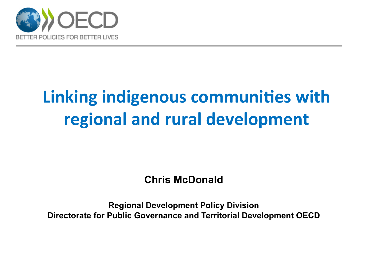

## **Linking indigenous communities with regional and rural development**

**Chris McDonald** 

**Regional Development Policy Division Directorate for Public Governance and Territorial Development OECD**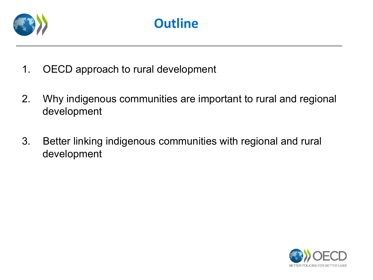

- 1. OECD approach to rural development
- 2. Why indigenous communities are important to rural and regional development
- 3. Better linking indigenous communities with regional and rural development

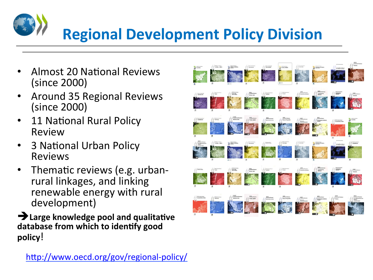# **Regional Development Policy Division**

- Almost 20 National Reviews (since 2000)
- Around 35 Regional Reviews (since 2000)
- 11 National Rural Policy Review
- 3 National Urban Policy Reviews
- Thematic reviews (e.g. urbanrural linkages, and linking renewable energy with rural development)

**EXALA EXALA EXALA EXALA EXAMPLE THE EXAMPLE THE EXAMPLE THE EXAMPLE THE EXAMPLE THE EXAMPLE THE EXAMPLE THE EXAMPLE THE EXAMPLE THE EXAMPLE THE EXAMPLE THE EXAMPLE THE EXAMPLE THE EXAMPLE THE EXAMPLE THE EXAMPLE THE EXAMP** database from which to identify good **policy**!

http://www.oecd.org/gov/regional-policy/

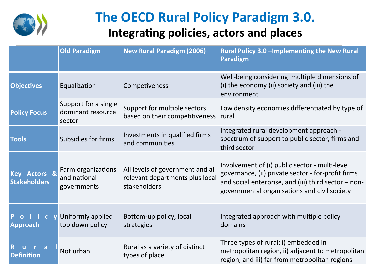![](_page_3_Picture_0.jpeg)

## **The OECD Rural Policy Paradigm 3.0. Integrating policies, actors and places**

|                                                 | <b>Old Paradigm</b>                                 | <b>New Rural Paradigm (2006)</b>                                                    | Rural Policy 3.0 - Implementing the New Rural<br><b>Paradigm</b>                                                                                                                                               |  |
|-------------------------------------------------|-----------------------------------------------------|-------------------------------------------------------------------------------------|----------------------------------------------------------------------------------------------------------------------------------------------------------------------------------------------------------------|--|
| <b>Objectives</b>                               | Equalization                                        | Competiveness                                                                       | Well-being considering multiple dimensions of<br>(i) the economy (ii) society and (iii) the<br>environment                                                                                                     |  |
| <b>Policy Focus</b>                             | Support for a single<br>dominant resource<br>sector | Support for multiple sectors<br>based on their competitiveness rural                | Low density economies differentiated by type of                                                                                                                                                                |  |
| <b>Tools</b>                                    | <b>Subsidies for firms</b>                          | Investments in qualified firms<br>and communities                                   | Integrated rural development approach -<br>spectrum of support to public sector, firms and<br>third sector                                                                                                     |  |
| Key Actors &<br><b>Stakeholders</b>             | Farm organizations<br>and national<br>governments   | All levels of government and all<br>relevant departments plus local<br>stakeholders | Involvement of (i) public sector - multi-level<br>governance, (ii) private sector - for-profit firms<br>and social enterprise, and (iii) third sector $-$ non-<br>governmental organisations and civil society |  |
| P<br>$i$ c<br>$\overline{O}$<br><b>Approach</b> | Uniformly applied<br>top down policy                | Bottom-up policy, local<br>strategies                                               | Integrated approach with multiple policy<br>domains                                                                                                                                                            |  |
| a<br><b>Definition</b>                          | Not urban                                           | Rural as a variety of distinct<br>types of place                                    | Three types of rural: i) embedded in<br>metropolitan region, ii) adjacent to metropolitan<br>region, and iii) far from metropolitan regions                                                                    |  |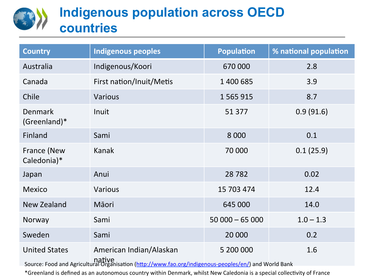## **Indigenous population across OECD countries**

| <b>Country</b>                 | <b>Indigenous peoples</b>                                                                                                                  | <b>Population</b> | % national population |
|--------------------------------|--------------------------------------------------------------------------------------------------------------------------------------------|-------------------|-----------------------|
| Australia                      | Indigenous/Koori                                                                                                                           | 670 000           | 2.8                   |
| Canada                         | First nation/Inuit/Metis                                                                                                                   | 1 400 685         | 3.9                   |
| Chile                          | <b>Various</b>                                                                                                                             | 1 5 6 5 9 1 5     | 8.7                   |
| <b>Denmark</b><br>(Greenland)* | Inuit                                                                                                                                      | 51 377            | 0.9(91.6)             |
| Finland                        | Sami                                                                                                                                       | 8 0 0 0           | 0.1                   |
| France (New<br>Caledonia)*     | Kanak                                                                                                                                      | 70 000            | 0.1(25.9)             |
| Japan                          | Anui                                                                                                                                       | 28782             | 0.02                  |
| <b>Mexico</b>                  | <b>Various</b>                                                                                                                             | 15 703 474        | 12.4                  |
| New Zealand                    | Māori                                                                                                                                      | 645 000           | 14.0                  |
| Norway                         | Sami                                                                                                                                       | $50000 - 65000$   | $1.0 - 1.3$           |
| Sweden                         | Sami                                                                                                                                       | 20 000            | 0.2                   |
| <b>United States</b>           | American Indian/Alaskan<br>native<br>Source: Food and Agricultural Organisation (http://www.fao.org/indigenous-peoples/en/) and World Bank | 5 200 000         | 1.6                   |

\*Greenland is defined as an autonomous country within Denmark, whilst New Caledonia is a special collectivity of France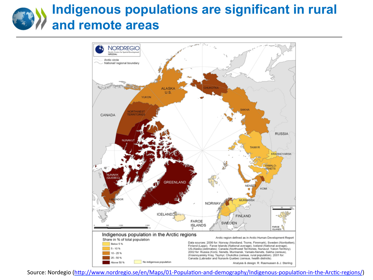## **Indigenous populations are significant in rural and remote areas**

![](_page_5_Figure_1.jpeg)

Source: Nordegio (http://www.nordregio.se/en/Maps/01-Population-and-demography/Indigenous-population-in-the-Arctic-regions/)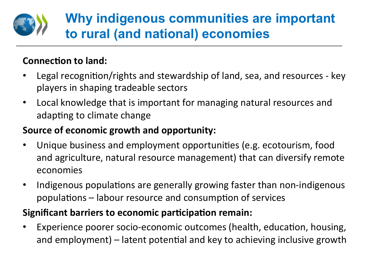![](_page_6_Figure_0.jpeg)

## **Why indigenous communities are important to rural (and national) economies**

#### **Connection to land:**

- Legal recognition/rights and stewardship of land, sea, and resources key players in shaping tradeable sectors
- Local knowledge that is important for managing natural resources and adapting to climate change

#### **Source of economic growth and opportunity:**

- Unique business and employment opportunities (e.g. ecotourism, food and agriculture, natural resource management) that can diversify remote economies
- Indigenous populations are generally growing faster than non-indigenous populations – labour resource and consumption of services

#### **Significant barriers to economic participation remain:**

Experience poorer socio-economic outcomes (health, education, housing, and employment)  $-$  latent potential and key to achieving inclusive growth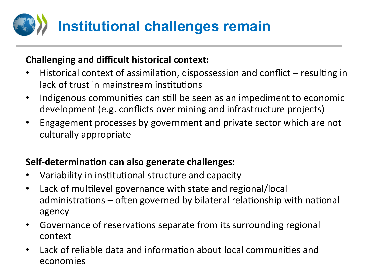![](_page_7_Picture_0.jpeg)

#### **Challenging and difficult historical context:**

- Historical context of assimilation, dispossession and conflict  $-$  resulting in lack of trust in mainstream institutions
- Indigenous communities can still be seen as an impediment to economic development (e.g. conflicts over mining and infrastructure projects)
- Engagement processes by government and private sector which are not culturally appropriate

#### **Self-determination can also generate challenges:**

- Variability in institutional structure and capacity
- Lack of multilevel governance with state and regional/local administrations  $-$  often governed by bilateral relationship with national agency
- Governance of reservations separate from its surrounding regional context
- Lack of reliable data and information about local communities and economies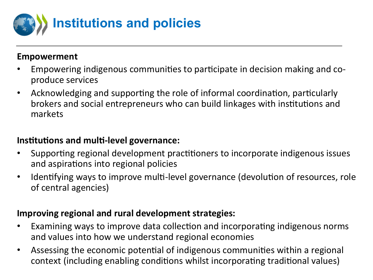![](_page_8_Picture_0.jpeg)

#### **Empowerment**

- Empowering indigenous communities to participate in decision making and coproduce services
- Acknowledging and supporting the role of informal coordination, particularly brokers and social entrepreneurs who can build linkages with institutions and markets

#### **Institutions and multi-level governance:**

- Supporting regional development practitioners to incorporate indigenous issues and aspirations into regional policies
- Identifying ways to improve multi-level governance (devolution of resources, role of central agencies)

#### **Improving regional and rural development strategies:**

- Examining ways to improve data collection and incorporating indigenous norms and values into how we understand regional economies
- Assessing the economic potential of indigenous communities within a regional context (including enabling conditions whilst incorporating traditional values)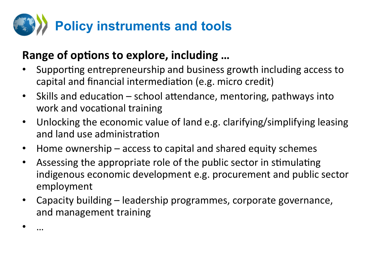![](_page_9_Picture_0.jpeg)

#### Range of options to explore, including ...

• … 

- Supporting entrepreneurship and business growth including access to capital and financial intermediation (e.g. micro credit)
- Skills and education  $-$  school attendance, mentoring, pathways into work and vocational training
- Unlocking the economic value of land e.g. clarifying/simplifying leasing and land use administration
- Home ownership access to capital and shared equity schemes
- Assessing the appropriate role of the public sector in stimulating indigenous economic development e.g. procurement and public sector employment
- Capacity building leadership programmes, corporate governance, and management training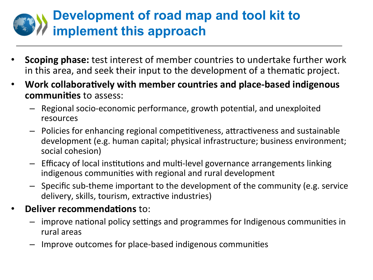## **Development of road map and tool kit to implement this approach**

- **Scoping phase:** test interest of member countries to undertake further work in this area, and seek their input to the development of a thematic project.
- Work collaboratively with member countries and place-based indigenous **communities** to assess:
	- $-$  Regional socio-economic performance, growth potential, and unexploited resources
	- $-$  Policies for enhancing regional competitiveness, attractiveness and sustainable development (e.g. human capital; physical infrastructure; business environment; social cohesion)
	- $-$  Efficacy of local institutions and multi-level governance arrangements linking indigenous communities with regional and rural development
	- $-$  Specific sub-theme important to the development of the community (e.g. service delivery, skills, tourism, extractive industries)
- **Deliver recommendations to:** 
	- $-$  improve national policy settings and programmes for Indigenous communities in rural areas
	- Improve outcomes for place-based indigenous communities